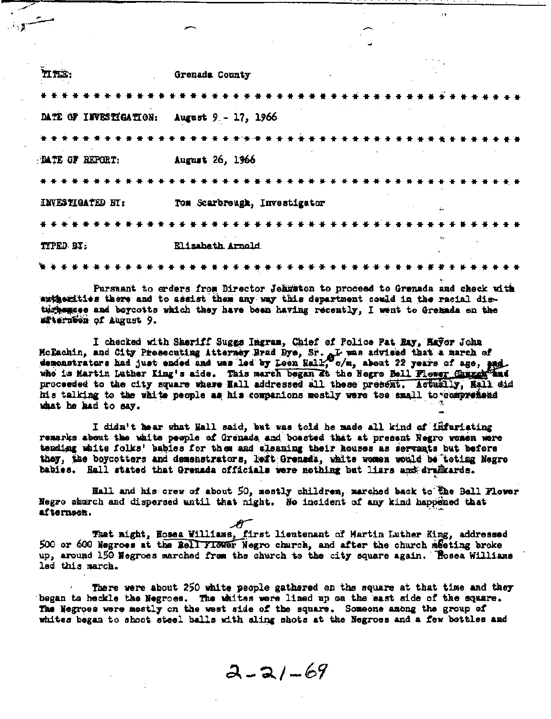| HRE:                   | Grenada County               |  |  |  |  |  |  |  |            |  |  |  |  |  |  |  |
|------------------------|------------------------------|--|--|--|--|--|--|--|------------|--|--|--|--|--|--|--|
|                        |                              |  |  |  |  |  |  |  |            |  |  |  |  |  |  |  |
| DATE OF INVESTIGATION: | August 9 - 17, 1966          |  |  |  |  |  |  |  |            |  |  |  |  |  |  |  |
|                        |                              |  |  |  |  |  |  |  |            |  |  |  |  |  |  |  |
| <b>PATE OF REPORT:</b> | August 26, 1966              |  |  |  |  |  |  |  |            |  |  |  |  |  |  |  |
|                        |                              |  |  |  |  |  |  |  |            |  |  |  |  |  |  |  |
| INVESTIGATED BY:       | Tom Scarbreugh, Investigator |  |  |  |  |  |  |  | $\ddot{ }$ |  |  |  |  |  |  |  |
|                        |                              |  |  |  |  |  |  |  |            |  |  |  |  |  |  |  |
| TYPED BY:              | Elizabeth Arnold             |  |  |  |  |  |  |  | w          |  |  |  |  |  |  |  |
|                        |                              |  |  |  |  |  |  |  |            |  |  |  |  |  |  |  |

Pursuant to erders from Director Jeanston to proceed to Grenada and check with axtherities there and to assist them any way this department could in the racial disturbences and beycotts which they have been having recently, I went to Gremada on the afterneen of August 9.

I checked with Sheriff Suggs Ingram, Chief of Police Pat Ray, Rayor John McEachin, and City Presecuting Atterney Brad Bye, Sr. at was advised that a march of<br>demonstrators had just ended and was led by Leon Hall, c/m, about 22 years of age, and<br>whe is Martin Luther King's aide. This march began his talking to the white people as his companions mostly were too small to comprehend what he had to say.

I didn't hear what Hall said, but was told he made all kind of infuristing remarks about the unite people of Grenada and boasted that at present Negro wemen were tending white folks' babies for them and alsaning their houses as servants but before they, the boycotters and demenstrators, left Grenada, white women would be teting Negro babies. Hall stated that Grenada officials were nothing but liars and drunkards.

Hall and his crew of about 50, mostly children, marched back to the Bell Flower Negro shurch and dispersed until that night. No incident of any kind happened that afternoon.

That might, Hosea Williams, first lieutenant of Martin Luther King, addressed 500 or 600 Negroes at the Bell FISNET Negro church, and after the church meeting broke up, around 150 Negroes marched from the church to the city square again. Rosea Williams led this march.

There were about 250 white people gathered on the square at that time and they began to heckle the Negroes. The whites were lined up on the east side of the square. The Negroes were mestly on the west side of the square. Someone among the group of whites began to shoot steel balls with sling shots at the Negroes and a few bettles and

 $2 - 21 - 69$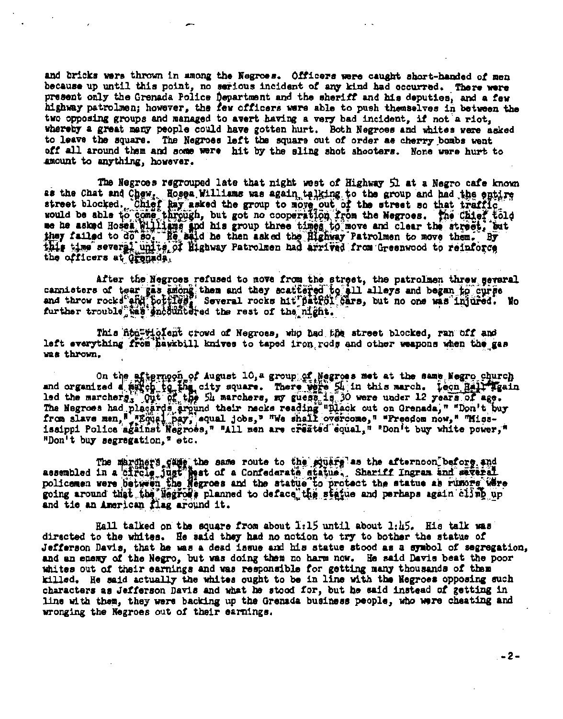and bricks were thrown in among the Negroes. Officers were caught short-handed of men because up until this point, no serious incident of any kind had occurred. There were present only the Grenada Police Department and the sheriff and his deputies, and a few highway patrolmen; however, the few officers were able to push themselves in between the two opposing groups and managed to avert having a very bad incident, if not a riot, whereby a great many people could have gotten hurt. Both Negroes and whites were asked to leave the square. The Negroes left the square out of order as cherry bombs went off all around them and some were hit by the sling shot shooters. None were hurt to amount to anything, however.

The Negroes regrouped late that night west of Highway 51 at a Negro cafe known as the Chat and Chew, Hosea Williams was again talking to the group and had the entire<br>street blocked. Chief Ray asked the group to move out of the street so that traffic<br>would be able to come through, but got no cooperati the officers at Granada,

After the Negroes refused to move from the street, the patrolmen threw geveral cannisters of tear gas among them and they scattered to all alleys and began to curpe

This non-violent crowd of Negross, who had the street blocked, ran off and left everything from hawkbill knives to taped iron rods and other weapons when the gas was thrown.

On the afternoon of August 10, a group of Negroes met at the same Negro church<br>and organized a satisfying the city square. There were 54 in this march. Leon Hall Tasin<br>led the marchers, Out of the 54 marchers, my guess, 18 "Don't buy segregation," etc.

The marghers came ine same route to the square as the afternoon before and<br>assembled in a strele just meat of a Confederate statue. Shariff Ingram and several<br>policemen were between the Megroes and the statue to protect th going around that the Negrous planned to deface the statue and perhaps again climp up

Hall talked on the square from about 1:15 until about 1:45. His talk was directed to the whites. He said they had no notion to try to bother the statue of Jefferson Davis, that he was a dead issue and his statue stood as a symbol of segregation, and an enemy of the Negro, but was doing them no harm now. He said Davis beat the poor whites out of their earnings and was responsible for getting many thousands of them killed. He said actually the whites ought to be in line with the Negroes opposing such characters as Jefferson Davis and what he stood for, but he said instead of getting in line with them, they were backing up the Grenada business people, who were cheating and wronging the Negroes out of their earnings.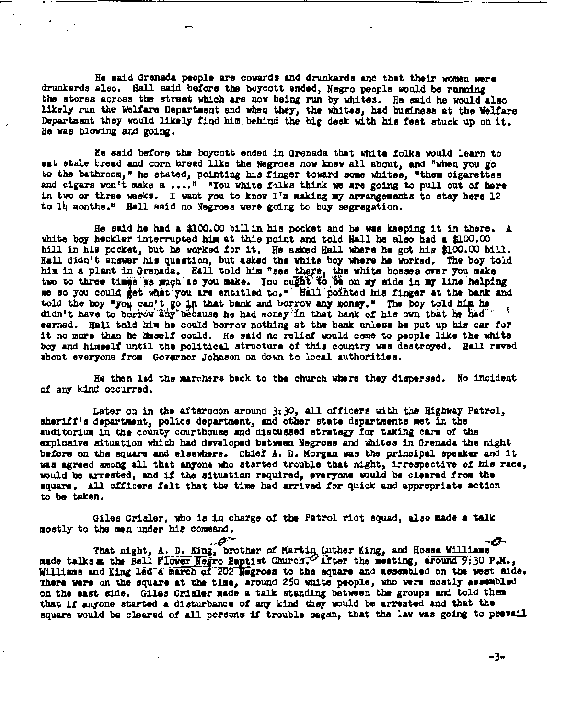He said Qrenada people are cowards and drunkards and that their women were drunkards also. Hall said before the boycott ended, Negro people would be running the stores across the street which are nov heine run by wh1 tes. He said he would also likely run the Welfare Department and when they, the whites, had business at the Welfare Department they would likely find him behind the big desk with his feet stuck up on it. Be vas blowing and goina:.

Be said before the boycott ended in Qrenada that wh1 te folks would learn to eat stale bread and corn bread like the Negroes now knew all about, and "when you go to the bathroom," he stated, pointing his finger toward some whites, "them cigarettes and cigars won't make a ....<sup>n</sup> "You white folks think we are going to pull out of here in two or three weeks. I want you to know I'm making my arrangements to etay here  $12$ to 14 months." Hall said no Negroes were going to buy segregation.

He said he had a \$100.00 bill in his pocket and he was keeping it in there. A. white boy heckler interrupted him at this point and told Hall he also had a \$100.00 bill in hia pocket, but be worked tor it. He asked Hall wbere be gat hia \$100.00 bill. Hall didn't answer his question, but asked the white boy where he worked. The boy told him in a plant in Grenada. Hall told him "see there, the white boeses over you make two to three times as much as you make. You ought to be on my side in my line helping me so you could get what you are entitled to." Hall pointed his finger at the bank and told the boy *\*you* can't go in that bank and borrow any money." The boy told him he didn't have to borrow any because he had money in that bank of his own that he had earned. Hall told him he could borrow nothing at the bank unless he put up his car for it no more than he lisself could. He said no relief would come to people like the white boy and hillselt until the political structure *ot* this country was deatroyed. Ball raved about everyone from Governor Johnson on down to local authorities.

He then led the marchers back to the church where they dispersed. No incident af any kind occurred.

Later on in the afternoon around 3:30, all officers with the Highway Patrol, sheriff's department, police department, and other state departments met in the auditorium in the county courthouse and discussed strategy for taking care of the explosive situation which had developed between Negroes and whites in Grenada the night before on the square and elsewhere. Chief A. D. Morgan was the principal speaker and it was agreed among all that anyone who started trouble that night, irrespective of his race, would be arrested, and if the situation required, everyone would be cleared from the square. All officere felt that the time had arrived for quick and appropriate action to be taken.

Giles Crisler, who is in charge of the Patrol riot squad, also made a talk mostly to the men under his command.

• - ·-4- That ni1ht, *A..* D. King, brother *at* Martiq\_ Luther King, am Hona Wllliaae made talks & the Bell Flower Negro Baptist Church. There the meeting, around 9:30 P.M., Williams and King led a march of 202 Hegroes to the square and assembled on the west side. There were on the square at the time, around 250 white people, who were mostly assembled on the east side. Giles Crisler made a talk standing between the groups and told them that if anyone started a disturbance of any kind they would be arrested and that the square would be cleared of all persons if trouble began, that the law was going to prevail

-3-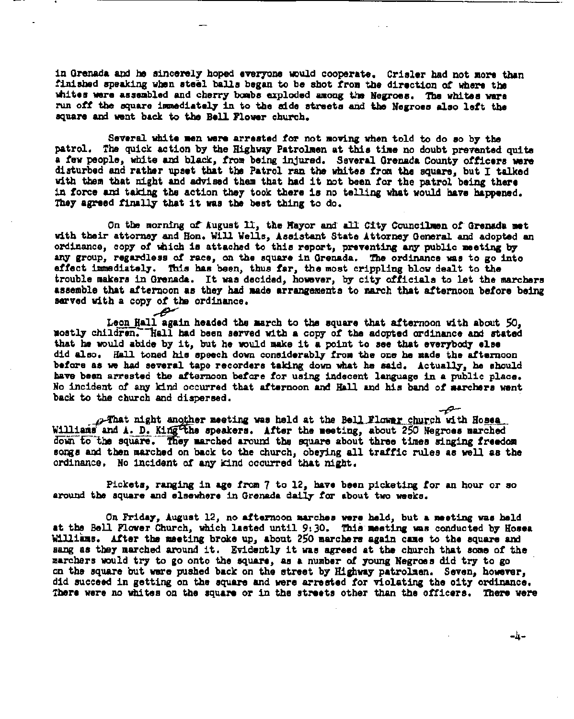in Grenada and he sincerely hoped everyone would cooperate. Crisler had not more than finished speaking when steel balls began to be shot from the direction of where the whites were assembled and cherry bombs exploded among the Negroes. The whites ware run off the square ismediately in to the side streets and the Negroes also left the square and went back to the Bell Flower church.

Several white men were arrested for not moving when told to do so by the patrol. The quick action by the Highway Patrolmen at this time no doubt prevented quite a few people, white and black, from being injured. Several Grenada County officers were disturbed and rather upset that the Patrol ran the whites from the square, but I talked with them that night and advised them that had it not been for the patrol being there in force and taking the action they took there is no telling what would have happened. They agreed finally that it was the best thing to do.

On the morning of August 11, the Hayor and all City Councilmen of Grenada met with their attorney and Hon. Will Wells, Assistant State Attorney General and adopted an ordinance, copy of which is attached to this report, preventing any public meeting by any group, regardless of race, on the square in Grenada. The ordinance was to go into effect immediately. This has been, thus far, the most crippling blow dealt to the trouble makers in Grenada. It was decided, however, by city officials to let the marchers assemble that afternoon as they had made arrangements to march that afternoon before being sarved with a copy of the ordinance. تىھ

Leon Hall again headed the march to the square that afternoon with about 50. mostly children. Thall had been served with a copy of the adopted ordinance and stated that he would abide by it, but he would make it a point to see that everybody else did also. Hall toned his speech down considerably from the one he made the afternoon before as we had several tape recorders taking down what he said. Actually, he should have been arrested the afternoon before for using indecent language in a public place. No incident of any kind occurred that afternoon and Hall and his band of aarchers went back to the church and dispersed.

 $\boldsymbol{\tau}$ p-That night another meeting was held at the Bell Flower church with Hoses. Williams and A. D. King the speakers. After the meeting, about 250 Negroes marched down to the square. They marched around the square about three times singing freedom songs and then marched on back to the church, obeying all traffic rules as well as the ordinance. No incident of any kind occurred that night.

Pickets, ranging in age from 7 to 12, have been picketing for an hour or so around the square and elsewhere in Grenada daily for about two weeks.

On Friday, August 12, no afternoon marches were held, but a meeting was held at the Bell Flower Church, which lasted until 9:30. This meeting was conducted by Hosea Williams. After the meeting broke up, about 250 marchers again came to the square and sang as they marched around it. Evidently it was agreed at the church that some of the marchers would try to go onto the square, as a number of young Negroes did try to go on the square but were pushed back on the street by Highway patrolmen. Seven, however, did succeed in getting on the square and were arrested for violating the oity ordinance. There were no whites on the square or in the streets other than the officers. There were

-4-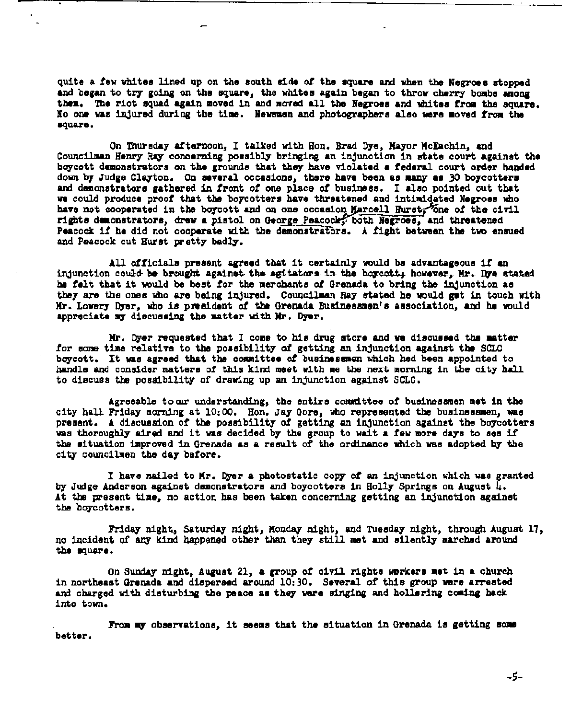quite a few whites lined up on the south side of the square and when the Negroes stopped and began to try going on the square, the whites again began to throw cherry bombs among them. The riot squad again moved in and moved all the Negroes and whites from the square. No one was injured during the time. Newsman and photographers also were moved from the square.

On Thursday afternoon, I talked with Hon. Brad Dye, Mayor McEachin, and Councilmen Henry Ray concerning possibly bringing an injunction in state court against the boycott demonstrators on the grounds that they have violated a federal court order handed down by Judge Clayton. On several occasions, there have been as many as 30 boycotters and demonstrators gathered in front of one place of business. I also pointed out that we could produce proof that the boycotters have threatened and intimidated Negroes who have not cooperated in the boycott and on one occasion Marcell Hurst, one of the civil rights demonstrators, drew a pistol on George Peacock, both Negroes, and threatened Peacock if he did not cooperate with the demonstrators. A fight between the two ensued and Peacock cut Hurst pretty badly.

All officials present agreed that it certainly would bs advantageous if an injunction could be brought against the agitators in the boycott; however, Mr. Dye stated he felt that it would be best for the merchants of Grenada to bring the injunction as they are the ones who are being injured. Councilman Ray stated he would get in touch with Mr. Lowery Dyer, who is president of the Grenada Businessmen's association, and he would appreciate my discussing the matter with Mr. Dyer.

Mr. Dyer requested that I come to his drug store and we discussed the matter for some time relative to the possibility of getting an injunction against the SCLC boycott. It was agreed that the committee of businessmen which hed been appointed to handle and consider matters of this kind meet with me the next morning in the city hall to discuss the possibility of drawing up an injunction against SCLC.

Agreeable to ar understanding, the entirs committee of businessmen met in the city hall Friday morning at 10:00. Hon. Jay Gore, who represented the businessmen, was present. A discussion of the possibility of getting an injunction against the boycotters was thoroughly aired and it was decided by the group to wait a few more days to ses if the situation improved in Grenada as a result of the ordinance which was adopted by the city councilmen the day before.

I have mailed to Mr. Dyer a photostatic copy of an injunction which was granted by Judge Anderson against demonstrators and boycotters in Holly Springs on August 4. At the present time, no action has been taken concerning getting an injunction against the boycotters.

Friday night, Saturday night, Monday night, and Tuesday night, through August 17, no incident of any kind happened other than they still met and silently marched around the square.

On Sunday night, August 21, a group of civil rights workers met in a church in northeast Grenada and dispersed around 10:30. Several of this group were arrested and charged with disturbing the peace as they were singing and hollsring coming hack into town.

From my observations, it seems that the situation in Grenada is getting some better.